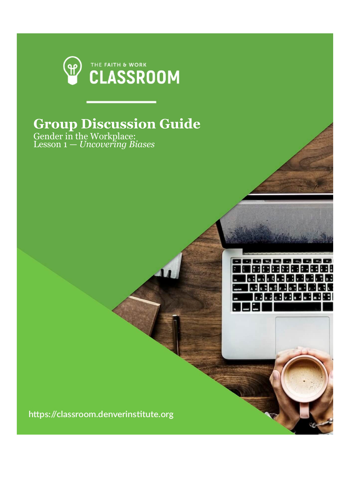

## **Group Discussion Guide**

Gender in the Workplace: Lesson 1 — *Uncovering Biases*



https://classroom.denverinstitute.org